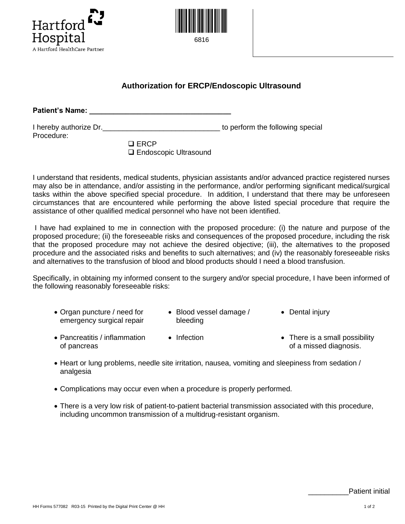



## **Authorization for ERCP/Endoscopic Ultrasound**

**Patient's Name: \_\_\_\_\_\_\_\_\_\_\_\_\_\_\_\_\_\_\_\_\_\_\_\_\_\_\_\_\_\_\_\_\_\_\_**

| I hereby authorize Dr. | to perform the following special |
|------------------------|----------------------------------|
| Procedure:             |                                  |
| $\Box$ $\Box$          |                                  |

| $\square$ ERCP          |
|-------------------------|
| □ Endoscopic Ultrasound |

I understand that residents, medical students, physician assistants and/or advanced practice registered nurses may also be in attendance, and/or assisting in the performance, and/or performing significant medical/surgical tasks within the above specified special procedure. In addition, I understand that there may be unforeseen circumstances that are encountered while performing the above listed special procedure that require the assistance of other qualified medical personnel who have not been identified.

I have had explained to me in connection with the proposed procedure: (i) the nature and purpose of the proposed procedure; (ii) the foreseeable risks and consequences of the proposed procedure, including the risk that the proposed procedure may not achieve the desired objective; (iii), the alternatives to the proposed procedure and the associated risks and benefits to such alternatives; and (iv) the reasonably foreseeable risks and alternatives to the transfusion of blood and blood products should I need a blood transfusion.

Specifically, in obtaining my informed consent to the surgery and/or special procedure, I have been informed of the following reasonably foreseeable risks:

| • Organ puncture / need for | • Blood vessel damage / | • Dental injury |
|-----------------------------|-------------------------|-----------------|
| emergency surgical repair   | bleeding                |                 |

- Pancreatitis / inflammation of pancreas • Infection • There is a small possibility of a missed diagnosis.
- Heart or lung problems, needle site irritation, nausea, vomiting and sleepiness from sedation / analgesia
- Complications may occur even when a procedure is properly performed.
- There is a very low risk of patient-to-patient bacterial transmission associated with this procedure, including uncommon transmission of a multidrug-resistant organism.